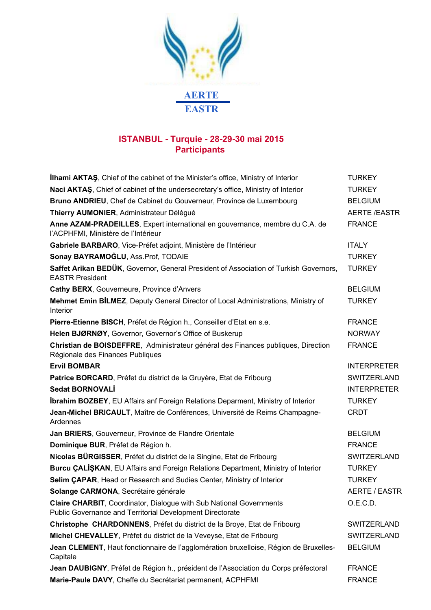

## **ISTANBUL - Turquie - 28-29-30 mai 2015 Participants**

| <b>Ilhami AKTAS</b> , Chief of the cabinet of the Minister's office, Ministry of Interior                                               | <b>TURKEY</b>       |
|-----------------------------------------------------------------------------------------------------------------------------------------|---------------------|
| Naci AKTAŞ, Chief of cabinet of the undersecretary's office, Ministry of Interior                                                       | <b>TURKEY</b>       |
| Bruno ANDRIEU, Chef de Cabinet du Gouverneur, Province de Luxembourg                                                                    | <b>BELGIUM</b>      |
| Thierry AUMONIER, Administrateur Délégué                                                                                                | <b>AERTE /EASTR</b> |
| Anne AZAM-PRADEILLES, Expert international en gouvernance, membre du C.A. de<br>l'ACPHFMI, Ministère de l'Intérieur                     | <b>FRANCE</b>       |
| Gabriele BARBARO, Vice-Préfet adjoint, Ministère de l'Intérieur                                                                         | <b>ITALY</b>        |
| Sonay BAYRAMOĞLU, Ass.Prof, TODAIE                                                                                                      | <b>TURKEY</b>       |
| Saffet Arikan BEDÜK, Governor, General President of Association of Turkish Governors,<br><b>EASTR President</b>                         | <b>TURKEY</b>       |
| Cathy BERX, Gouverneure, Province d'Anvers                                                                                              | <b>BELGIUM</b>      |
| Mehmet Emin BİLMEZ, Deputy General Director of Local Administrations, Ministry of<br><b>Interior</b>                                    | <b>TURKEY</b>       |
| Pierre-Etienne BISCH, Préfet de Région h., Conseiller d'Etat en s.e.                                                                    | <b>FRANCE</b>       |
| Helen BJØRNØY, Governor, Governor's Office of Buskerup                                                                                  | <b>NORWAY</b>       |
| Christian de BOISDEFFRE, Administrateur général des Finances publiques, Direction<br>Régionale des Finances Publiques                   | <b>FRANCE</b>       |
| <b>Ervil BOMBAR</b>                                                                                                                     | <b>INTERPRETER</b>  |
| Patrice BORCARD, Préfet du district de la Gruyère, Etat de Fribourg                                                                     | <b>SWITZERLAND</b>  |
| <b>Sedat BORNOVALI</b>                                                                                                                  | <b>INTERPRETER</b>  |
| <b>İbrahim BOZBEY, EU Affairs anf Foreign Relations Deparment, Ministry of Interior</b>                                                 | <b>TURKEY</b>       |
| Jean-Michel BRICAULT, Maître de Conférences, Université de Reims Champagne-<br>Ardennes                                                 | <b>CRDT</b>         |
| Jan BRIERS, Gouverneur, Province de Flandre Orientale                                                                                   | <b>BELGIUM</b>      |
| Dominique BUR, Préfet de Région h.                                                                                                      | <b>FRANCE</b>       |
| Nicolas BÜRGISSER, Préfet du district de la Singine, Etat de Fribourg                                                                   | SWITZERLAND         |
| <b>Burcu CALISKAN, EU Affairs and Foreign Relations Department, Ministry of Interior</b>                                                | <b>TURKEY</b>       |
| Selim CAPAR, Head or Research and Sudies Center, Ministry of Interior                                                                   | <b>TURKEY</b>       |
| Solange CARMONA, Secrétaire générale                                                                                                    | AERTE / EASTR       |
| <b>Claire CHARBIT, Coordinator, Dialogue with Sub National Governments</b><br>Public Governance and Territorial Development Directorate | O.E.C.D.            |
| Christophe CHARDONNENS, Préfet du district de la Broye, Etat de Fribourg                                                                | <b>SWITZERLAND</b>  |
| Michel CHEVALLEY, Préfet du district de la Veveyse, Etat de Fribourg                                                                    | SWITZERLAND         |
| Jean CLEMENT, Haut fonctionnaire de l'agglomération bruxelloise, Région de Bruxelles-<br>Capitale                                       | <b>BELGIUM</b>      |
| Jean DAUBIGNY, Préfet de Région h., président de l'Association du Corps préfectoral                                                     | <b>FRANCE</b>       |
| Marie-Paule DAVY, Cheffe du Secrétariat permanent, ACPHFMI                                                                              | <b>FRANCE</b>       |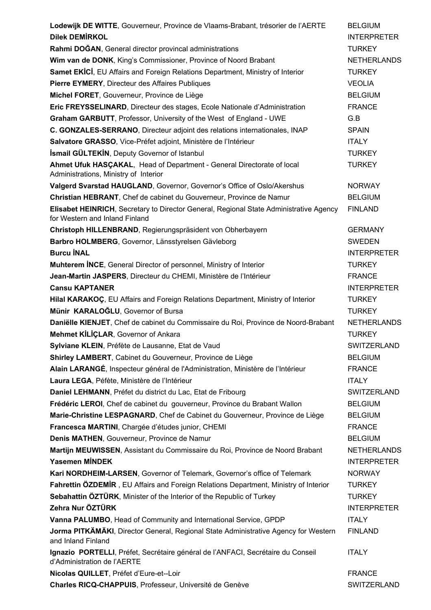| Lodewijk DE WITTE, Gouverneur, Province de Vlaams-Brabant, trésorier de l'AERTE                                          | <b>BELGIUM</b>     |
|--------------------------------------------------------------------------------------------------------------------------|--------------------|
| <b>Dilek DEMİRKOL</b>                                                                                                    | <b>INTERPRETER</b> |
| Rahmi DOĞAN, General director provincal administrations                                                                  | <b>TURKEY</b>      |
| Wim van de DONK, King's Commissioner, Province of Noord Brabant                                                          | <b>NETHERLANDS</b> |
| <b>Samet EKICI, EU Affairs and Foreign Relations Department, Ministry of Interior</b>                                    | <b>TURKEY</b>      |
| Pierre EYMERY, Directeur des Affaires Publiques                                                                          | <b>VEOLIA</b>      |
| Michel FORET, Gouverneur, Province de Liège                                                                              | <b>BELGIUM</b>     |
| Eric FREYSSELINARD, Directeur des stages, Ecole Nationale d'Administration                                               | <b>FRANCE</b>      |
| Graham GARBUTT, Professor, University of the West of England - UWE                                                       | G.B                |
| C. GONZALES-SERRANO, Directeur adjoint des relations internationales, INAP                                               | <b>SPAIN</b>       |
| Salvatore GRASSO, Vice-Préfet adjoint, Ministère de l'Intérieur                                                          | <b>ITALY</b>       |
| <b>İsmail GÜLTEKİN, Deputy Governor of Istanbul</b>                                                                      | <b>TURKEY</b>      |
| Ahmet Ufuk HASÇAKAL, Head of Department - General Directorate of local                                                   | <b>TURKEY</b>      |
| Administrations, Ministry of Interior                                                                                    |                    |
| Valgerd Svarstad HAUGLAND, Governor, Governor's Office of Oslo/Akershus                                                  | <b>NORWAY</b>      |
| Christian HEBRANT, Chef de cabinet du Gouverneur, Province de Namur                                                      | <b>BELGIUM</b>     |
| Elisabet HEINRICH, Secretary to Director General, Regional State Administrative Agency<br>for Western and Inland Finland | <b>FINLAND</b>     |
| Christoph HILLENBRAND, Regierungspräsident von Obherbayern                                                               | <b>GERMANY</b>     |
| Barbro HOLMBERG, Governor, Länsstyrelsen Gävleborg                                                                       | <b>SWEDEN</b>      |
| <b>Burcu İNAL</b>                                                                                                        | <b>INTERPRETER</b> |
| <b>Muhterem INCE, General Director of personnel, Ministry of Interior</b>                                                | <b>TURKEY</b>      |
| Jean-Martin JASPERS, Directeur du CHEMI, Ministère de l'Intérieur                                                        | <b>FRANCE</b>      |
| <b>Cansu KAPTANER</b>                                                                                                    | <b>INTERPRETER</b> |
| Hilal KARAKOÇ, EU Affairs and Foreign Relations Department, Ministry of Interior                                         | <b>TURKEY</b>      |
| Münir KARALOĞLU, Governor of Bursa                                                                                       | <b>TURKEY</b>      |
| Daniëlle KIENJET, Chef de cabinet du Commissaire du Roi, Province de Noord-Brabant                                       | <b>NETHERLANDS</b> |
| Mehmet KİLİÇLAR, Governor of Ankara                                                                                      | <b>TURKEY</b>      |
| Sylviane KLEIN, Préfète de Lausanne, Etat de Vaud                                                                        | SWITZERI AND       |
| Shirley LAMBERT, Cabinet du Gouverneur, Province de Liège                                                                | <b>BELGIUM</b>     |
| Alain LARANGÉ, Inspecteur général de l'Administration, Ministère de l'Intérieur                                          | <b>FRANCE</b>      |
| Laura LEGA, Péfète, Ministère de l'Intérieur                                                                             | <b>ITALY</b>       |
| Daniel LEHMANN, Préfet du district du Lac, Etat de Fribourg                                                              | SWITZERLAND        |
| Frédéric LEROI, Chef de cabinet du gouverneur, Province du Brabant Wallon                                                | <b>BELGIUM</b>     |
| Marie-Christine LESPAGNARD, Chef de Cabinet du Gouverneur, Province de Liège                                             | <b>BELGIUM</b>     |
| Francesca MARTINI, Chargée d'études junior, CHEMI                                                                        | <b>FRANCE</b>      |
| Denis MATHEN, Gouverneur, Province de Namur                                                                              | <b>BELGIUM</b>     |
| Martijn MEUWISSEN, Assistant du Commissaire du Roi, Province de Noord Brabant                                            | <b>NETHERLANDS</b> |
| <b>Yasemen MINDEK</b>                                                                                                    | <b>INTERPRETER</b> |
| Kari NORDHEIM-LARSEN, Governor of Telemark, Governor's office of Telemark                                                | <b>NORWAY</b>      |
| Fahrettin ÖZDEMIR, EU Affairs and Foreign Relations Department, Ministry of Interior                                     | <b>TURKEY</b>      |
| Sebahattin ÖZTÜRK, Minister of the Interior of the Republic of Turkey                                                    | <b>TURKEY</b>      |
| Zehra Nur ÖZTÜRK                                                                                                         | <b>INTERPRETER</b> |
| Vanna PALUMBO, Head of Community and International Service, GPDP                                                         | <b>ITALY</b>       |
| Jorma PITKÄMÄKI, Director General, Regional State Administrative Agency for Western<br>and Inland Finland                | <b>FINLAND</b>     |
| Ignazio PORTELLI, Préfet, Secrétaire général de l'ANFACI, Secrétaire du Conseil<br>d'Administration de l'AERTE           | <b>ITALY</b>       |
| Nicolas QUILLET, Préfet d'Eure-et--Loir                                                                                  | <b>FRANCE</b>      |
| Charles RICQ-CHAPPUIS, Professeur, Université de Genève                                                                  | SWITZERLAND        |